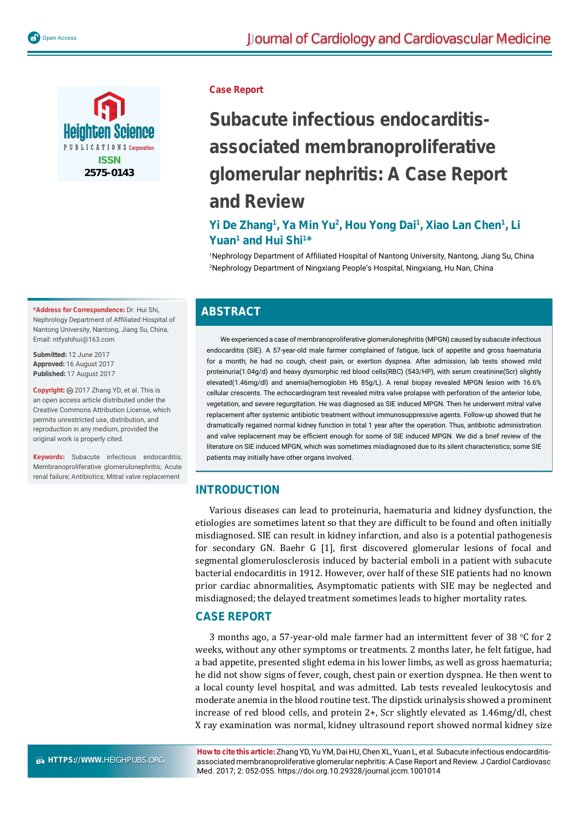

**Case Report**

# **Subacute infectious endocarditisassociated membranoproliferative glomerular nephritis: A Case Report and Review**

## Yi De Zhang<sup>1</sup>, Ya Min Yu<sup>2</sup>, Hou Yong Dai<sup>1</sup>, Xiao Lan Chen<sup>1</sup>, Li Yuan<sup>1</sup> and Hui Shi<sup>1\*</sup>

<sup>1</sup>Nephrology Department of Affiliated Hospital of Nantong University, Nantong, Jiang Su, China 2 Nephrology Department of Ningxiang People's Hospital, Ningxiang, Hu Nan, China

#### **\*Address for Correspondence:** Dr. Hui Shi, Nephrology Department of Affiliated Hospital of Nantong University, Nantong, Jiang Su, China,

**Submitted:** 12 June 2017 **Approved:** 16 August 2017 **Published:** 17 August 2017

Email: ntfyshihui@163.com

Copyright: @ 2017 Zhang YD, et al. This is an open access article distributed under the Creative Commons Attribution License, which permits unrestricted use, distribution, and reproduction in any medium, provided the original work is properly cited.

**Keywords:** Subacute infectious endocarditis; Membranoproliferative glomerulonephritis; Acute renal failure; Antibiotics; Mitral valve replacement

## **ABSTRACT**

We experienced a case of membranoproliferative glomerulonephritis (MPGN) caused by subacute infectious endocarditis (SIE). A 57-year-old male farmer complained of fatigue, lack of appetite and gross haematuria for a month; he had no cough, chest pain, or exertion dyspnea. After admission, lab tests showed mild proteinuria(1.04g/d) and heavy dysmorphic red blood cells(RBC) (543/HP), with serum creatinine(Scr) slightly elevated(1.46mg/dl) and anemia(hemoglobin Hb 85g/L). A renal biopsy revealed MPGN lesion with 16.6% cellular crescents. The echocardiogram test revealed mitra valve prolapse with perforation of the anterior lobe, vegetation, and severe regurgitation. He was diagnosed as SIE induced MPGN. Then he underwent mitral valve replacement after systemic antibiotic treatment without immunosuppressive agents. Follow-up showed that he dramatically regained normal kidney function in total 1 year after the operation. Thus, antibiotic administration and valve replacement may be efficient enough for some of SIE induced MPGN. We did a brief review of the literature on SIE induced MPGN, which was sometimes misdiagnosed due to its silent characteristics; some SIE patients may initially have other organs involved.

## **INTRODUCTION**

Various diseases can lead to proteinuria, haematuria and kidney dysfunction, the etiologies are sometimes latent so that they are difficult to be found and often initially misdiagnosed. SIE can result in kidney infarction, and also is a potential pathogenesis for secondary GN. Baehr G [1], first discovered glomerular lesions of focal and segmental glomerulosclerosis induced by bacterial emboli in a patient with subacute bacterial endocarditis in 1912. However, over half of these SIE patients had no known prior cardiac abnormalities, Asymptomatic patients with SIE may be neglected and misdiagnosed; the delayed treatment sometimes leads to higher mortality rates.

## **CASE REPORT**

3 months ago, a 57-year-old male farmer had an intermittent fever of 38  $°C$  for 2 weeks, without any other symptoms or treatments. 2 months later, he felt fatigue, had a bad appetite, presented slight edema in his lower limbs, as well as gross haematuria; he did not show signs of fever, cough, chest pain or exertion dyspnea. He then went to a local county level hospital, and was admitted. Lab tests revealed leukocytosis and moderate anemia in the blood routine test. The dipstick urinalysis showed a prominent increase of red blood cells, and protein 2+, Scr slightly elevated as 1.46mg/dl, chest X ray examination was normal, kidney ultrasound report showed normal kidney size

 **HTTPS://WWW.**HEIGHPUBS.ORG

**How to cite this article:** Zhang YD, Yu YM, Dai HU, Chen XL, Yuan L, et al. Subacute infectious endocarditisassociated membranoproliferative glomerular nephritis: A Case Report and Review. J Cardiol Cardiovasc Med. 2017; 2: 052-055. https://doi.org.10.29328/journal.jccm.1001014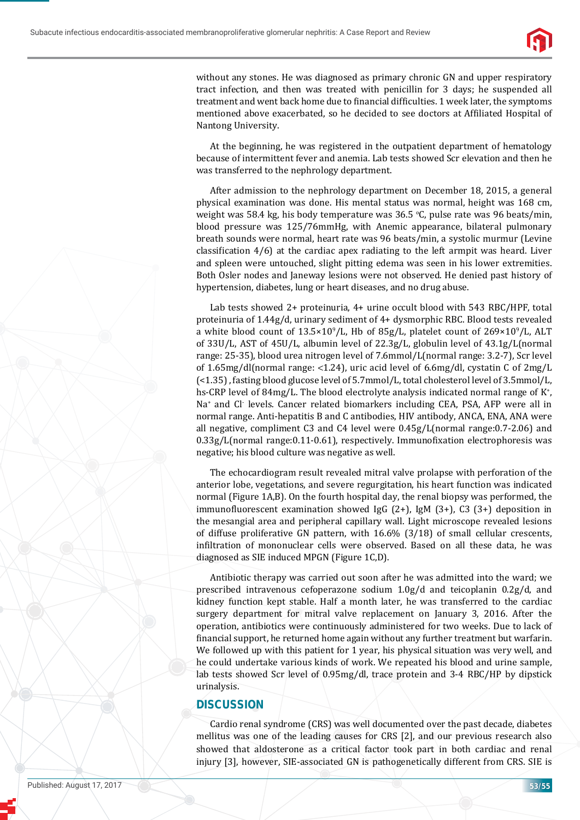

without any stones. He was diagnosed as primary chronic GN and upper respiratory tract infection, and then was treated with penicillin for 3 days; he suspended all treatment and went back home due to financial difficulties. 1 week later, the symptoms mentioned above exacerbated, so he decided to see doctors at Affiliated Hospital of Nantong University.

At the beginning, he was registered in the outpatient department of hematology because of intermittent fever and anemia. Lab tests showed Scr elevation and then he was transferred to the nephrology department.

After admission to the nephrology department on December 18, 2015, a general physical examination was done. His mental status was normal, height was 168 cm, weight was 58.4 kg, his body temperature was  $36.5$  °C, pulse rate was 96 beats/min, blood pressure was 125/76mmHg, with Anemic appearance, bilateral pulmonary breath sounds were normal, heart rate was 96 beats/min, a systolic murmur (Levine classification  $4/6$ ) at the cardiac apex radiating to the left armpit was heard. Liver and spleen were untouched, slight pitting edema was seen in his lower extremities. Both Osler nodes and Janeway lesions were not observed. He denied past history of hypertension, diabetes, lung or heart diseases, and no drug abuse.

Lab tests showed 2+ proteinuria, 4+ urine occult blood with 543 RBC/HPF, total proteinuria of 1.44g/d, urinary sediment of 4+ dysmorphic RBC. Blood tests revealed a white blood count of  $13.5 \times 10^{9}/L$ , Hb of  $85g/L$ , platelet count of  $269 \times 10^{9}/L$ , ALT of 33U/L, AST of 45U/L, albumin level of 22.3g/L, globulin level of 43.1g/L(normal range: 25-35), blood urea nitrogen level of 7.6mmol/L(normal range: 3.2-7), Scr level of 1.65mg/dl(normal range: <1.24), uric acid level of 6.6mg/dl, cystatin C of 2mg/L (<1.35) , fasting blood glucose level of 5.7mmol/L, total cholesterol level of 3.5mmol/L, hs-CRP level of 84mg/L. The blood electrolyte analysis indicated normal range of K<sup>+</sup>, Na<sup>+</sup> and Cl<sup>-</sup> levels. Cancer related biomarkers including CEA, PSA, AFP were all in normal range. Anti-hepatitis B and C antibodies, HIV antibody, ANCA, ENA, ANA were all negative, compliment C3 and C4 level were 0.45g/L(normal range:0.7-2.06) and 0.33g/L(normal range:0.11-0.61), respectively. Immunofixation electrophoresis was negative; his blood culture was negative as well.

The echocardiogram result revealed mitral valve prolapse with perforation of the anterior lobe, vegetations, and severe regurgitation, his heart function was indicated normal (Figure 1A,B). On the fourth hospital day, the renal biopsy was performed, the immunofluorescent examination showed IgG  $(2+)$ , IgM  $(3+)$ , C3  $(3+)$  deposition in the mesangial area and peripheral capillary wall. Light microscope revealed lesions of diffuse proliferative GN pattern, with 16.6% (3/18) of small cellular crescents, infiltration of mononuclear cells were observed. Based on all these data, he was diagnosed as SIE induced MPGN (Figure 1C,D).

Antibiotic therapy was carried out soon after he was admitted into the ward; we prescribed intravenous cefoperazone sodium 1.0g/d and teicoplanin 0.2g/d, and kidney function kept stable. Half a month later, he was transferred to the cardiac surgery department for mitral valve replacement on January 3, 2016. After the operation, antibiotics were continuously administered for two weeks. Due to lack of financial support, he returned home again without any further treatment but warfarin. We followed up with this patient for 1 year, his physical situation was very well, and he could undertake various kinds of work. We repeated his blood and urine sample, lab tests showed Scr level of 0.95mg/dl, trace protein and 3-4 RBC/HP by dipstick urinalysis.

#### **DISCUSSION**

Cardio renal syndrome (CRS) was well documented over the past decade, diabetes mellitus was one of the leading causes for CRS [2], and our previous research also showed that aldosterone as a critical factor took part in both cardiac and renal injury [3], however, SIE-associated GN is pathogenetically different from CRS. SIE is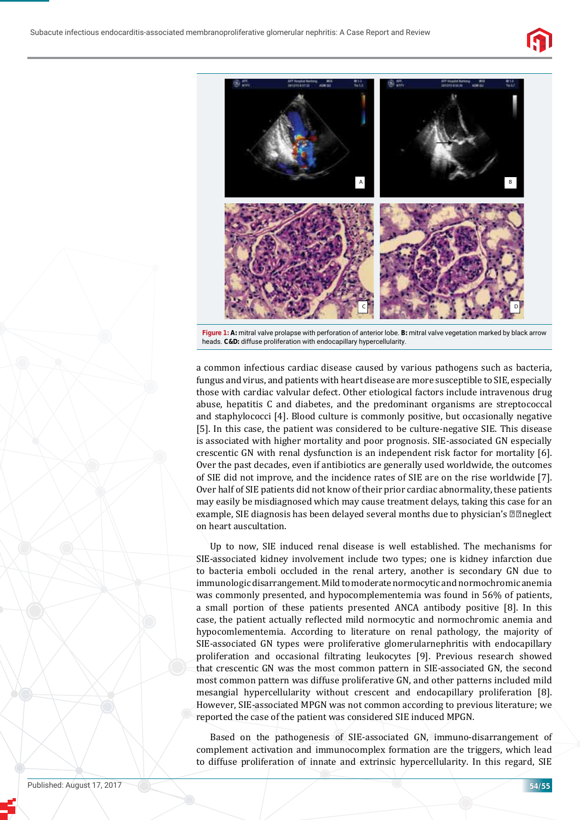



**Figure 1: A:** mitral valve prolapse with perforation of anterior lobe. **B:** mitral valve vegetation marked by black arrow heads. **C&D:** diffuse proliferation with endocapillary hypercellularity.

a common infectious cardiac disease caused by various pathogens such as bacteria, fungus and virus, and patients with heart disease are more susceptible to SIE, especially those with cardiac valvular defect. Other etiological factors include intravenous drug abuse, hepatitis C and diabetes, and the predominant organisms are streptococcal and staphylococci [4]. Blood culture is commonly positive, but occasionally negative [5]. In this case, the patient was considered to be culture-negative SIE. This disease is associated with higher mortality and poor prognosis. SIE-associated GN especially crescentic GN with renal dysfunction is an independent risk factor for mortality [6]. Over the past decades, even if antibiotics are generally used worldwide, the outcomes of SIE did not improve, and the incidence rates of SIE are on the rise worldwide [7]. Over half of SIE patients did not know of their prior cardiac abnormality, these patients may easily be misdiagnosed which may cause treatment delays, taking this case for an example, SIE diagnosis has been delayed several months due to physician's  $\mathbb{Z}$   $\mathbb{Z}$  neglect on heart auscultation.

Up to now, SIE induced renal disease is well established. The mechanisms for SIE-associated kidney involvement include two types; one is kidney infarction due to bacteria emboli occluded in the renal artery, another is secondary GN due to immunologic disarrangement. Mild to moderate normocytic and normochromic anemia was commonly presented, and hypocomplementemia was found in 56% of patients, a small portion of these patients presented ANCA antibody positive [8]. In this case, the patient actually reflected mild normocytic and normochromic anemia and hypocomlementemia. According to literature on renal pathology, the majority of SIE-associated GN types were proliferative glomerularnephritis with endocapillary proliferation and occasional filtrating leukocytes [9]. Previous research showed that crescentic GN was the most common pattern in SIE-associated GN, the second most common pattern was diffuse proliferative GN, and other patterns included mild mesangial hypercellularity without crescent and endocapillary proliferation [8]. However, SIE-associated MPGN was not common according to previous literature; we reported the case of the patient was considered SIE induced MPGN.

Based on the pathogenesis of SIE-associated GN, immuno-disarrangement of complement activation and immunocomplex formation are the triggers, which lead to diffuse proliferation of innate and extrinsic hypercellularity. In this regard, SIE